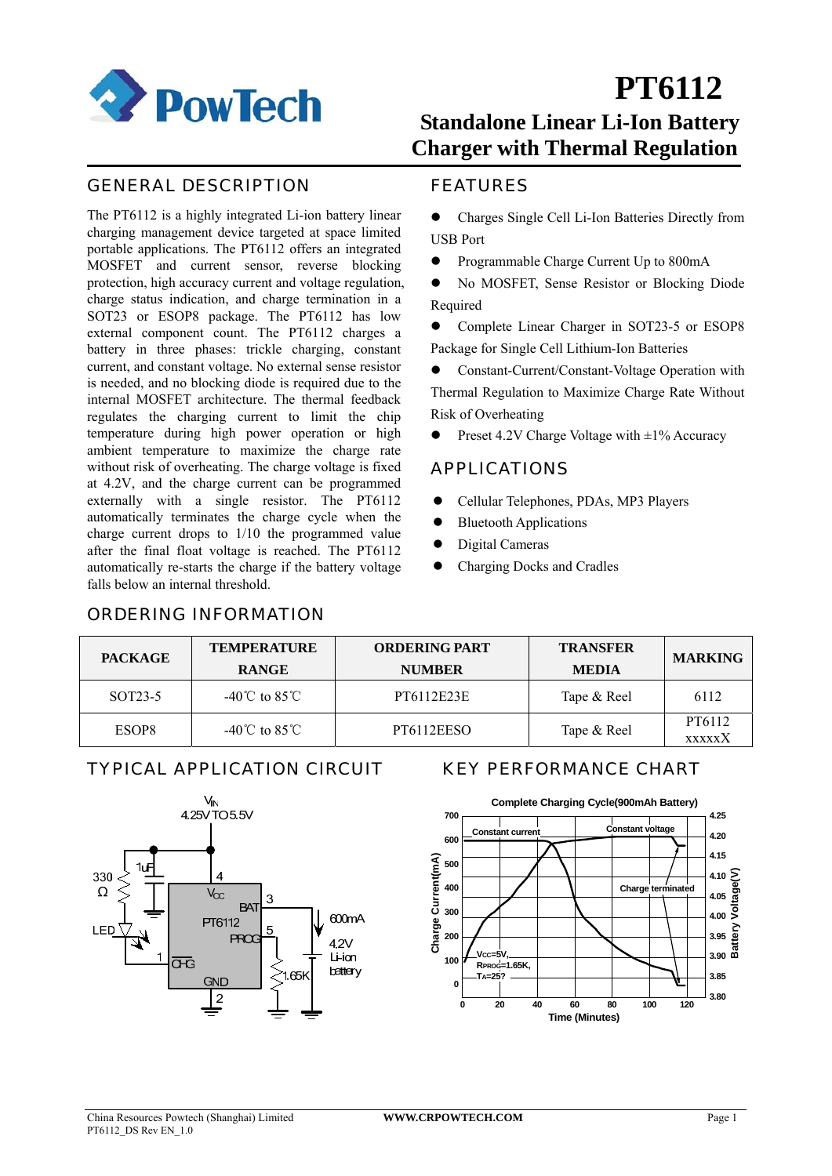

# **PT6112**

### **Standalone Linear Li-Ion Battery Charger with Thermal Regulation**

#### GENERAL DESCRIPTION

The PT6112 is a highly integrated Li-ion battery linear charging management device targeted at space limited portable applications. The PT6112 offers an integrated MOSFET and current sensor, reverse blocking protection, high accuracy current and voltage regulation, charge status indication, and charge termination in a SOT23 or ESOP8 package. The PT6112 has low external component count. The PT6112 charges a battery in three phases: trickle charging, constant current, and constant voltage. No external sense resistor is needed, and no blocking diode is required due to the internal MOSFET architecture. The thermal feedback regulates the charging current to limit the chip temperature during high power operation or high ambient temperature to maximize the charge rate without risk of overheating. The charge voltage is fixed at 4.2V, and the charge current can be programmed externally with a single resistor. The PT6112 automatically terminates the charge cycle when the charge current drops to 1/10 the programmed value after the final float voltage is reached. The PT6112 automatically re-starts the charge if the battery voltage falls below an internal threshold.

#### FEATURES

- Charges Single Cell Li-Ion Batteries Directly from USB Port
- Programmable Charge Current Up to 800mA

z No MOSFET, Sense Resistor or Blocking Diode Required

• Complete Linear Charger in SOT23-5 or ESOP8 Package for Single Cell Lithium-Ion Batteries

Constant-Current/Constant-Voltage Operation with Thermal Regulation to Maximize Charge Rate Without Risk of Overheating

Preset 4.2V Charge Voltage with  $\pm 1\%$  Accuracy

#### APPLICATIONS

- z Cellular Telephones, PDAs, MP3 Players
- **Bluetooth Applications**
- Digital Cameras
- Charging Docks and Cradles

| <b>PACKAGE</b>       | <b>TEMPERATURE</b><br><b>RANGE</b> | <b>ORDERING PART</b><br><b>NUMBER</b> | <b>TRANSFER</b><br><b>MEDIA</b> | <b>MARKING</b>          |
|----------------------|------------------------------------|---------------------------------------|---------------------------------|-------------------------|
| SOT <sub>23</sub> -5 | $-40^{\circ}$ C to $85^{\circ}$ C  | PT6112E23E                            | Tape & Reel                     | 6112                    |
| ESOP <sub>8</sub>    | $-40^{\circ}$ C to $85^{\circ}$ C  | PT6112EESO                            | Tape & Reel                     | PT6112<br><b>XXXXXX</b> |

#### TYPICAL APPLICATION CIRCUIT KEY PERFORMANCE CHART

ORDERING INFORMATION



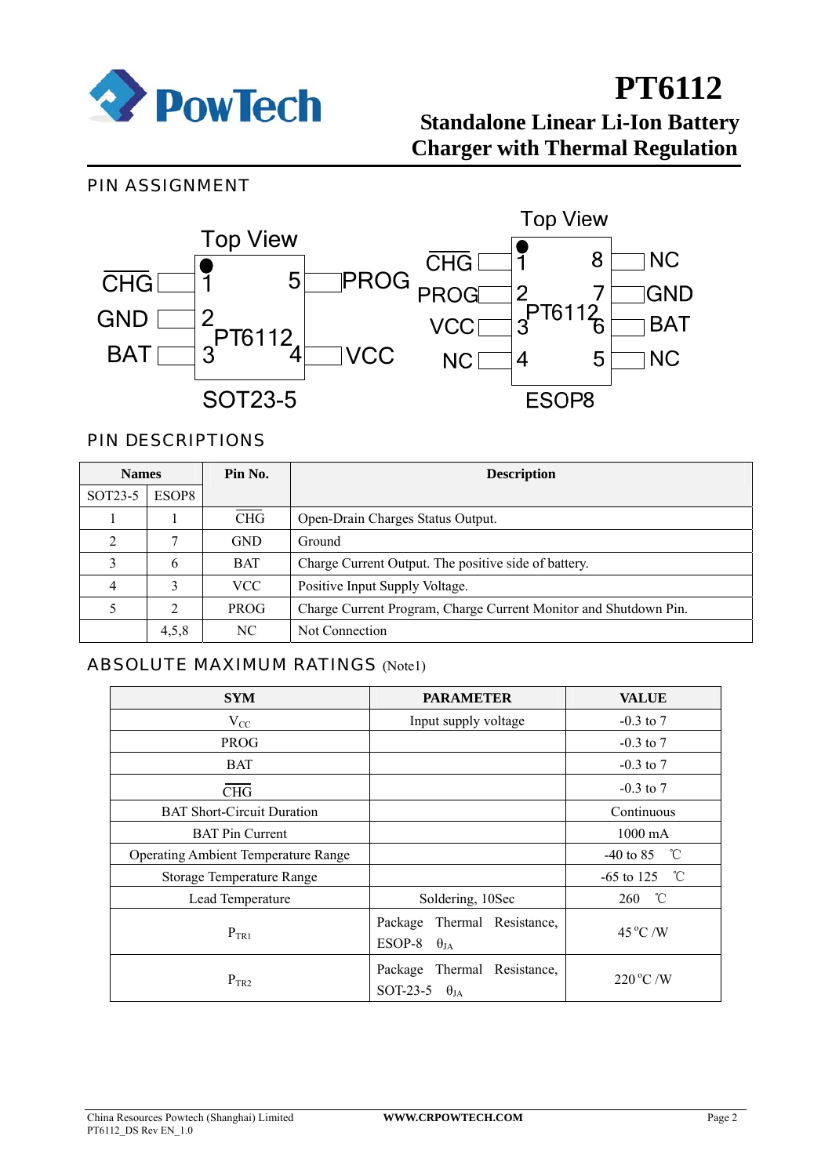

#### PIN ASSIGNMENT



#### PIN DESCRIPTIONS

| <b>Names</b>         |       | Pin No.     | <b>Description</b>                                               |
|----------------------|-------|-------------|------------------------------------------------------------------|
| SOT <sub>23</sub> -5 | ESOP8 |             |                                                                  |
|                      |       | <b>CHG</b>  | Open-Drain Charges Status Output.                                |
| ◠                    | 7     | <b>GND</b>  | Ground                                                           |
|                      | 6     | <b>BAT</b>  | Charge Current Output. The positive side of battery.             |
| 4                    | 3     | <b>VCC</b>  | Positive Input Supply Voltage.                                   |
|                      | 2     | <b>PROG</b> | Charge Current Program, Charge Current Monitor and Shutdown Pin. |
|                      | 4,5,8 | NC.         | Not Connection                                                   |

#### ABSOLUTE MAXIMUM RATINGS (Note1)

| <b>SYM</b>                                 | <b>PARAMETER</b>                                       | <b>VALUE</b>       |
|--------------------------------------------|--------------------------------------------------------|--------------------|
| $V_{CC}$                                   | Input supply voltage                                   | $-0.3$ to $7$      |
| <b>PROG</b>                                |                                                        | $-0.3$ to $7$      |
| <b>BAT</b>                                 |                                                        | $-0.3$ to $7$      |
| <b>CHG</b>                                 |                                                        | $-0.3$ to $7$      |
| <b>BAT Short-Circuit Duration</b>          |                                                        | Continuous         |
| <b>BAT Pin Current</b>                     |                                                        | $1000 \text{ mA}$  |
| <b>Operating Ambient Temperature Range</b> |                                                        | °C<br>$-40$ to 85  |
| Storage Temperature Range                  |                                                        | °C<br>$-65$ to 125 |
| Lead Temperature                           | Soldering, 10Sec                                       | °C<br>260          |
| $P_{TR1}$                                  | Package Thermal Resistance,<br>ESOP-8<br>$\theta_{JA}$ | $45^{\circ}$ C /W  |
| $P_{TR2}$                                  | Package Thermal Resistance,<br>SOT-23-5 $\theta_{JA}$  | $220^{\circ}$ C /W |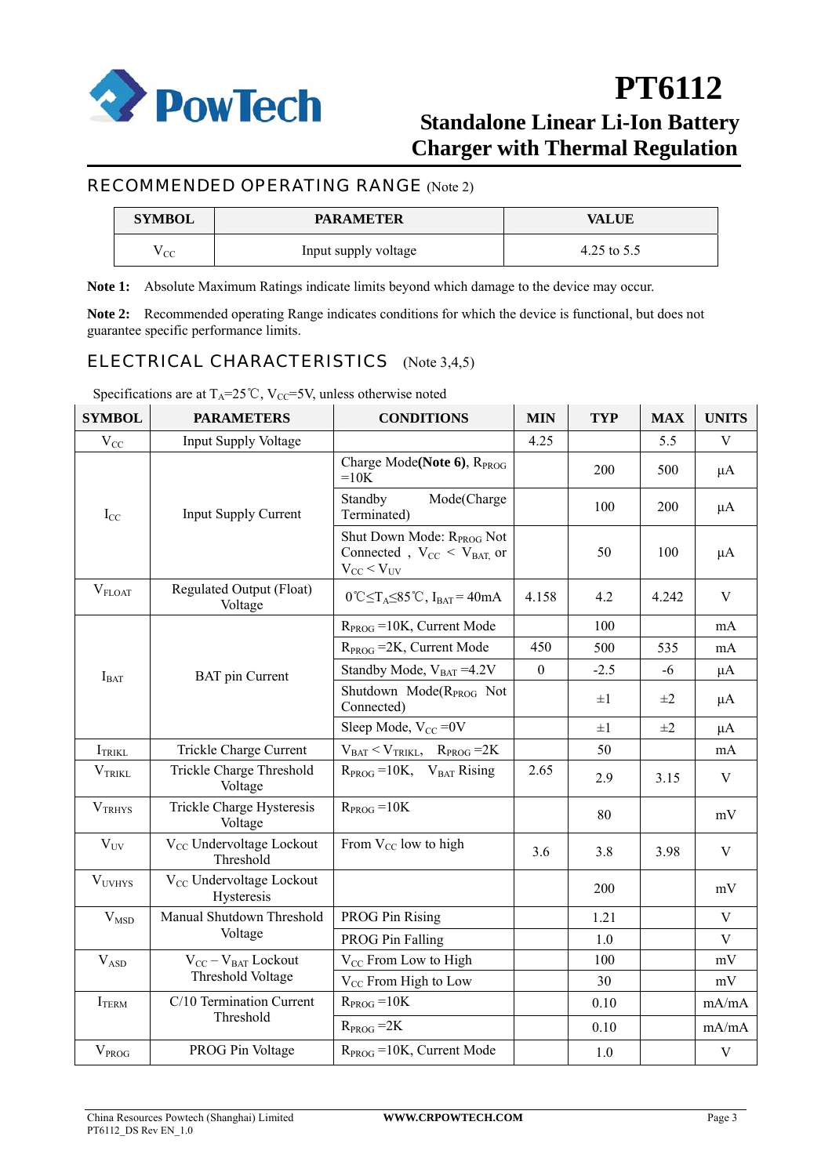

#### RECOMMENDED OPERATING RANGE (Note 2)

| <b>SYMBOL</b> | <b>PARAMETER</b>     | VALUE         |
|---------------|----------------------|---------------|
| <sub>CC</sub> | Input supply voltage | 4.25 to $5.5$ |

**Note 1:** Absolute Maximum Ratings indicate limits beyond which damage to the device may occur.

**Note 2:** Recommended operating Range indicates conditions for which the device is functional, but does not guarantee specific performance limits.

#### ELECTRICAL CHARACTERISTICS (Note 3,4,5)

Specifications are at  $T_A=25^{\circ}C$ ,  $V_{CC}=5V$ , unless otherwise noted

| <b>SYMBOL</b>       | <b>PARAMETERS</b>                                  | <b>CONDITIONS</b>                                                                                  | <b>MIN</b>       | <b>TYP</b> | <b>MAX</b> | <b>UNITS</b> |
|---------------------|----------------------------------------------------|----------------------------------------------------------------------------------------------------|------------------|------------|------------|--------------|
| $\rm V_{CC}$        | <b>Input Supply Voltage</b>                        |                                                                                                    | 4.25             |            | 5.5        | V            |
|                     |                                                    | Charge Mode(Note 6), R <sub>PROG</sub><br>$=10K$                                                   |                  | 200        | 500        | $\mu A$      |
| $I_{CC}$            | <b>Input Supply Current</b>                        | Mode(Charge<br>Standby<br>Terminated)                                                              |                  | 100        | 200        | $\mu$ A      |
|                     |                                                    | Shut Down Mode: R <sub>PROG</sub> Not<br>Connected, $V_{CC}$ < $V_{BAT}$ or<br>$V_{CC}$ < $V_{UV}$ |                  | 50         | 100        | $\mu A$      |
| $V_{FLOAT}$         | Regulated Output (Float)<br>Voltage                | $0^{\circ}$ C $\leq$ T <sub>A</sub> $\leq$ 85 <sup>°</sup> C, I <sub>BAT</sub> = 40mA              | 4.158            | 4.2        | 4.242      | V            |
|                     |                                                    | $RPROG = 10K$ , Current Mode                                                                       |                  | 100        |            | mA           |
|                     |                                                    | $R_{PROG}$ = 2K, Current Mode                                                                      | 450              | 500        | 535        | mA           |
| $I_{BAT}$           | <b>BAT</b> pin Current                             | Standby Mode, $V_{BAT} = 4.2V$                                                                     | $\boldsymbol{0}$ | $-2.5$     | $-6$       | $\mu A$      |
|                     |                                                    | Shutdown Mode(R <sub>PROG</sub> Not<br>Connected)                                                  |                  | $\pm 1$    | $\pm 2$    | μA           |
|                     |                                                    | Sleep Mode, $V_{CC} = 0V$                                                                          |                  | $\pm 1$    | $\pm 2$    | $\mu A$      |
| I <sub>TRIKL</sub>  | Trickle Charge Current                             | $V_{BAT} < V_{TRIKL}$ , $R_{PROG} = 2K$                                                            |                  | 50         |            | mA           |
| $V_{TRIKL}$         | Trickle Charge Threshold<br>Voltage                | $R_{PROG} = 10K$ , $V_{BAT}$ Rising                                                                | 2.65             | 2.9        | 3.15       | V            |
| V <sub>TRHYS</sub>  | Trickle Charge Hysteresis<br>Voltage               | $R_{PROG} = 10K$                                                                                   |                  | 80         |            | mV           |
| $V_{UV}$            | V <sub>CC</sub> Undervoltage Lockout<br>Threshold  | From $V_{CC}$ low to high                                                                          | 3.6              | 3.8        | 3.98       | V            |
| V <sub>UVHYS</sub>  | V <sub>CC</sub> Undervoltage Lockout<br>Hysteresis |                                                                                                    |                  | 200        |            | mV           |
| $\rm{V}_{\rm{MSD}}$ | Manual Shutdown Threshold                          | <b>PROG Pin Rising</b>                                                                             |                  | 1.21       |            | V            |
|                     | Voltage                                            | <b>PROG Pin Falling</b>                                                                            |                  | 1.0        |            | $\mathbf{V}$ |
| $\rm V_{ASD}$       | $V_{CC} - V_{BAT}$ Lockout                         | V <sub>CC</sub> From Low to High                                                                   |                  | 100        |            | mV           |
|                     | Threshold Voltage                                  | $V_{CC}$ From High to Low                                                                          |                  | 30         |            | mV           |
| I <sub>TEM</sub>    | C/10 Termination Current                           | $R_{PROG} = 10K$                                                                                   |                  | 0.10       |            | mA/mA        |
|                     | Threshold                                          | $R_{PROG} = 2K$                                                                                    |                  | 0.10       |            | mA/mA        |
| $V_{PROG}$          | PROG Pin Voltage                                   | $RPROG = 10K$ , Current Mode                                                                       |                  | 1.0        |            | $\mathbf V$  |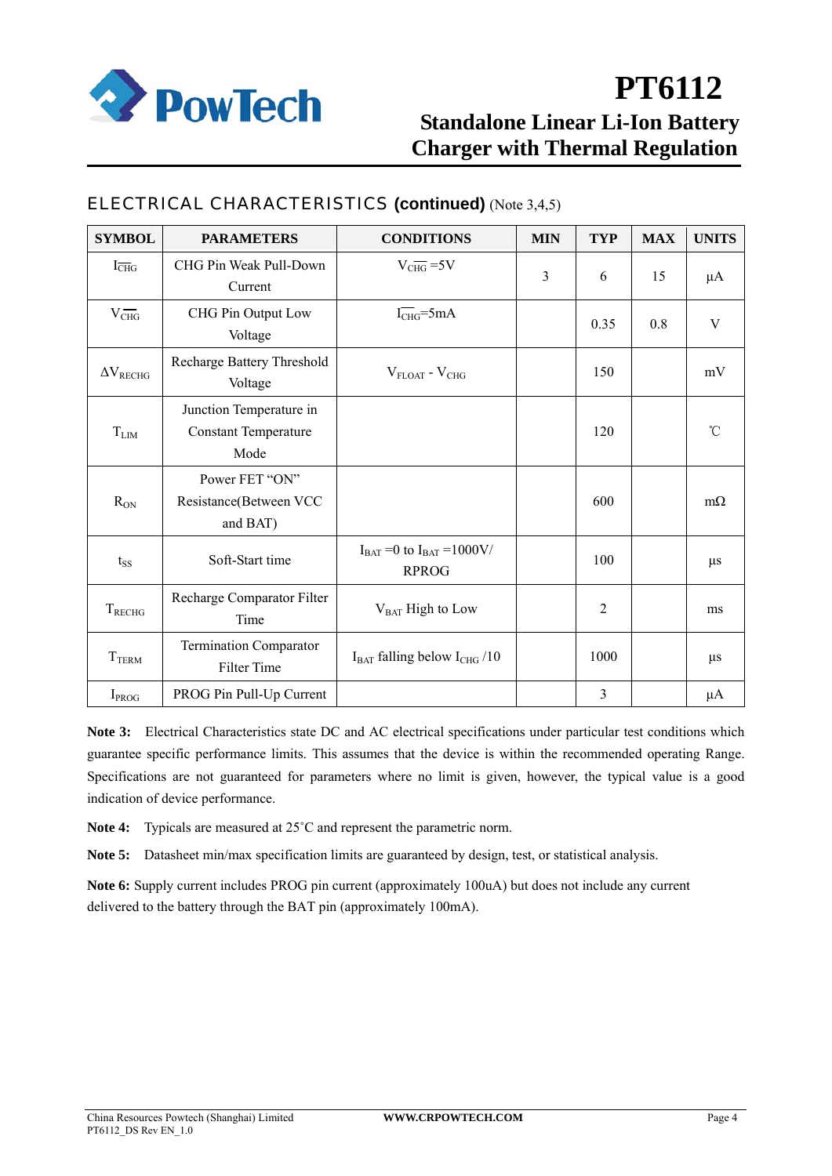

| <b>SYMBOL</b>               | <b>PARAMETERS</b>                                              | <b>CONDITIONS</b>                                    | <b>MIN</b> | <b>TYP</b>     | <b>MAX</b> | <b>UNITS</b>  |
|-----------------------------|----------------------------------------------------------------|------------------------------------------------------|------------|----------------|------------|---------------|
| $I_{\overline{\text{CHG}}}$ | CHG Pin Weak Pull-Down<br>Current                              | $V_{CHG}$ =5V                                        | 3          | 6              | 15         | $\mu A$       |
| $V_{CHG}$                   | CHG Pin Output Low<br>Voltage                                  | $I_{CHG} = 5mA$                                      |            | 0.35           | 0.8        | V             |
| $\Delta V_{RECHG}$          | Recharge Battery Threshold<br>Voltage                          | $V_{FLOAT}$ - $V_{CHG}$                              |            | 150            |            | mV            |
| $T_{LIM}$                   | Junction Temperature in<br><b>Constant Temperature</b><br>Mode |                                                      |            | 120            |            | $\mathcal{C}$ |
| $R_{ON}$                    | Power FET "ON"<br>Resistance(Between VCC<br>and BAT)           |                                                      |            | 600            |            | $m\Omega$     |
| $t_{SS}$                    | Soft-Start time                                                | $I_{BAT} = 0$ to $I_{BAT} = 1000$ V/<br><b>RPROG</b> |            | 100            |            | $\mu$ s       |
| $T_{RECHG}$                 | Recharge Comparator Filter<br>Time                             | V <sub>BAT</sub> High to Low                         |            | $\overline{2}$ |            | ms            |
| T <sub>TEM</sub>            | Termination Comparator<br>Filter Time                          | $I_{BAT}$ falling below $I_{CHG}$ /10                |            | 1000           |            | $\mu$ s       |
| $I_{PROG}$                  | PROG Pin Pull-Up Current                                       |                                                      |            | 3              |            | $\mu A$       |

### ELECTRICAL CHARACTERISTICS **(continued)** (Note 3,4,5)

**Note 3:** Electrical Characteristics state DC and AC electrical specifications under particular test conditions which guarantee specific performance limits. This assumes that the device is within the recommended operating Range. Specifications are not guaranteed for parameters where no limit is given, however, the typical value is a good indication of device performance.

- **Note 4:** Typicals are measured at 25˚C and represent the parametric norm.
- **Note 5:** Datasheet min/max specification limits are guaranteed by design, test, or statistical analysis.

**Note 6:** Supply current includes PROG pin current (approximately 100uA) but does not include any current delivered to the battery through the BAT pin (approximately 100mA).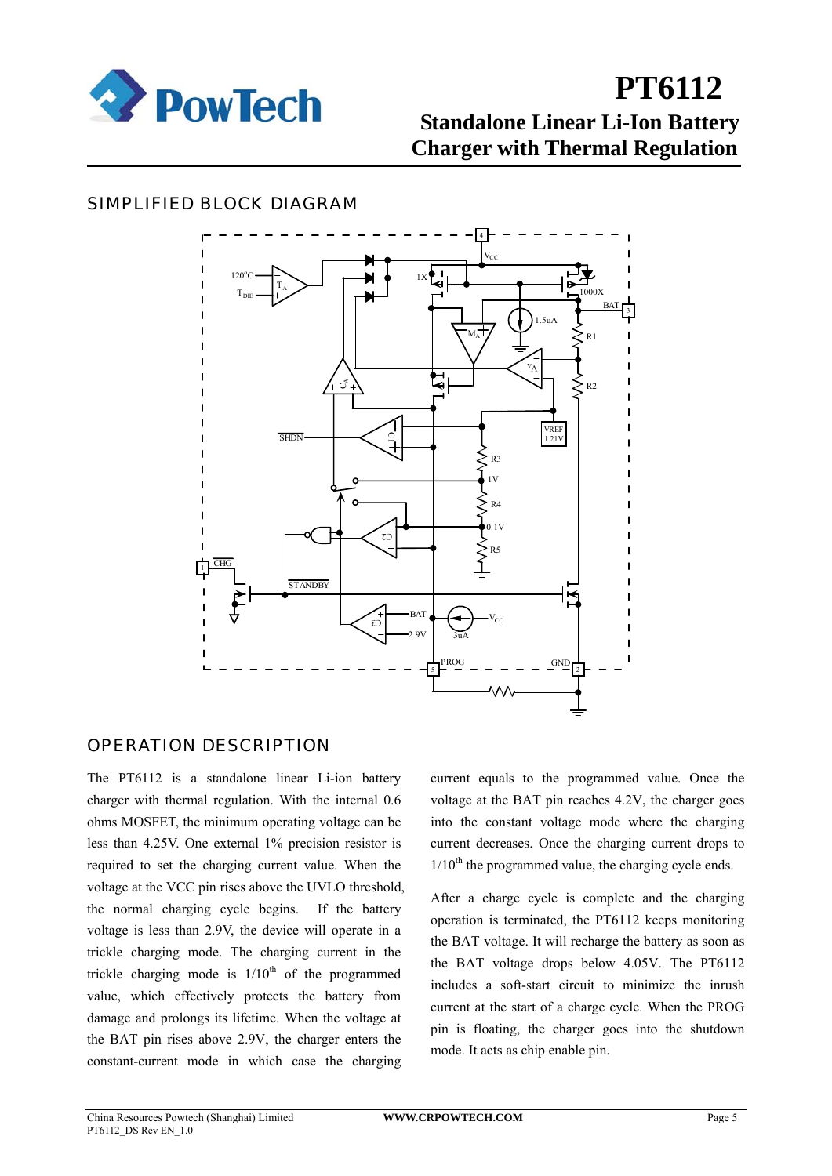

#### SIMPLIFIED BLOCK DIAGRAM



#### OPERATION DESCRIPTION

The PT6112 is a standalone linear Li-ion battery charger with thermal regulation. With the internal 0.6 ohms MOSFET, the minimum operating voltage can be less than 4.25V. One external 1% precision resistor is required to set the charging current value. When the voltage at the VCC pin rises above the UVLO threshold, the normal charging cycle begins. If the battery voltage is less than 2.9V, the device will operate in a trickle charging mode. The charging current in the trickle charging mode is  $1/10^{th}$  of the programmed value, which effectively protects the battery from damage and prolongs its lifetime. When the voltage at the BAT pin rises above 2.9V, the charger enters the constant-current mode in which case the charging

current equals to the programmed value. Once the voltage at the BAT pin reaches 4.2V, the charger goes into the constant voltage mode where the charging current decreases. Once the charging current drops to  $1/10<sup>th</sup>$  the programmed value, the charging cycle ends.

After a charge cycle is complete and the charging operation is terminated, the PT6112 keeps monitoring the BAT voltage. It will recharge the battery as soon as the BAT voltage drops below 4.05V. The PT6112 includes a soft-start circuit to minimize the inrush current at the start of a charge cycle. When the PROG pin is floating, the charger goes into the shutdown mode. It acts as chip enable pin.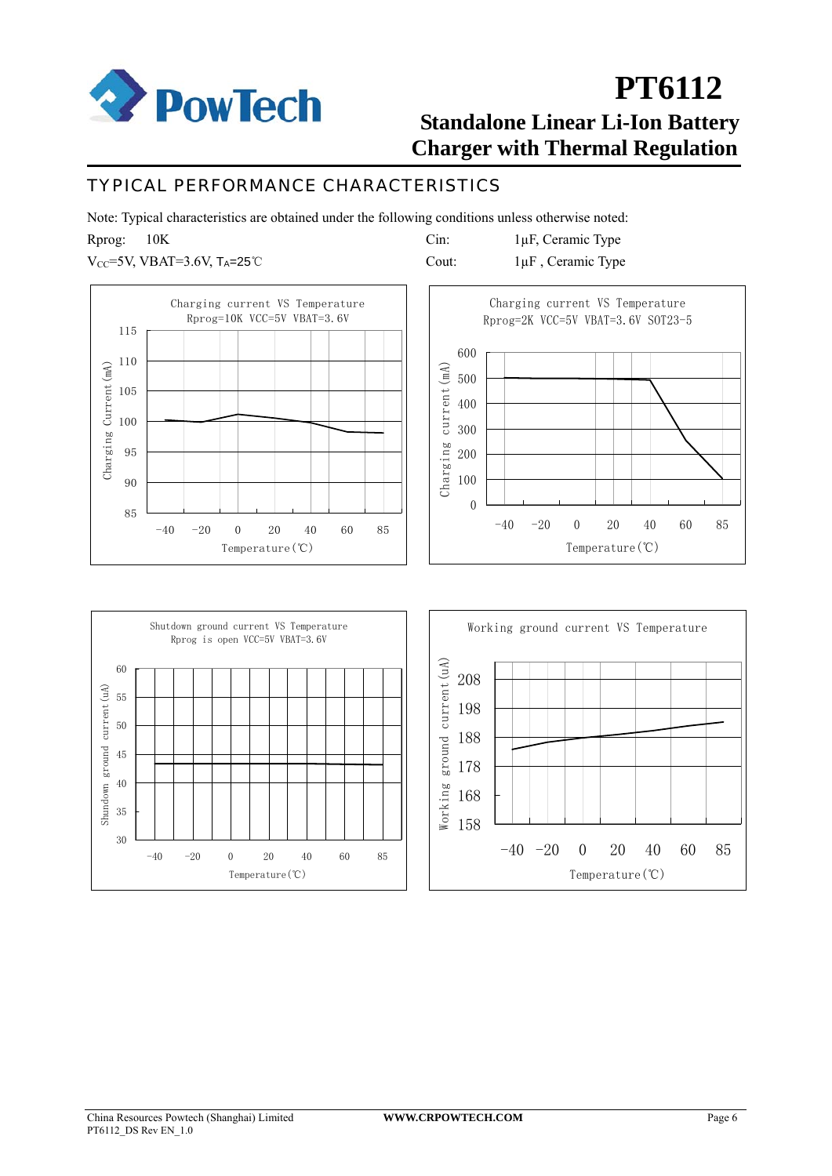

#### TYPICAL PERFORMANCE CHARACTERISTICS

Note: Typical characteristics are obtained under the following conditions unless otherwise noted:

Rprog: 10K

 $V_{CC}$ =5V, VBAT=3.6V, T<sub>A</sub>=25℃

Cin: 1µF, Ceramic Type Cout: 1µF , Ceramic Type





Temperature(℃)

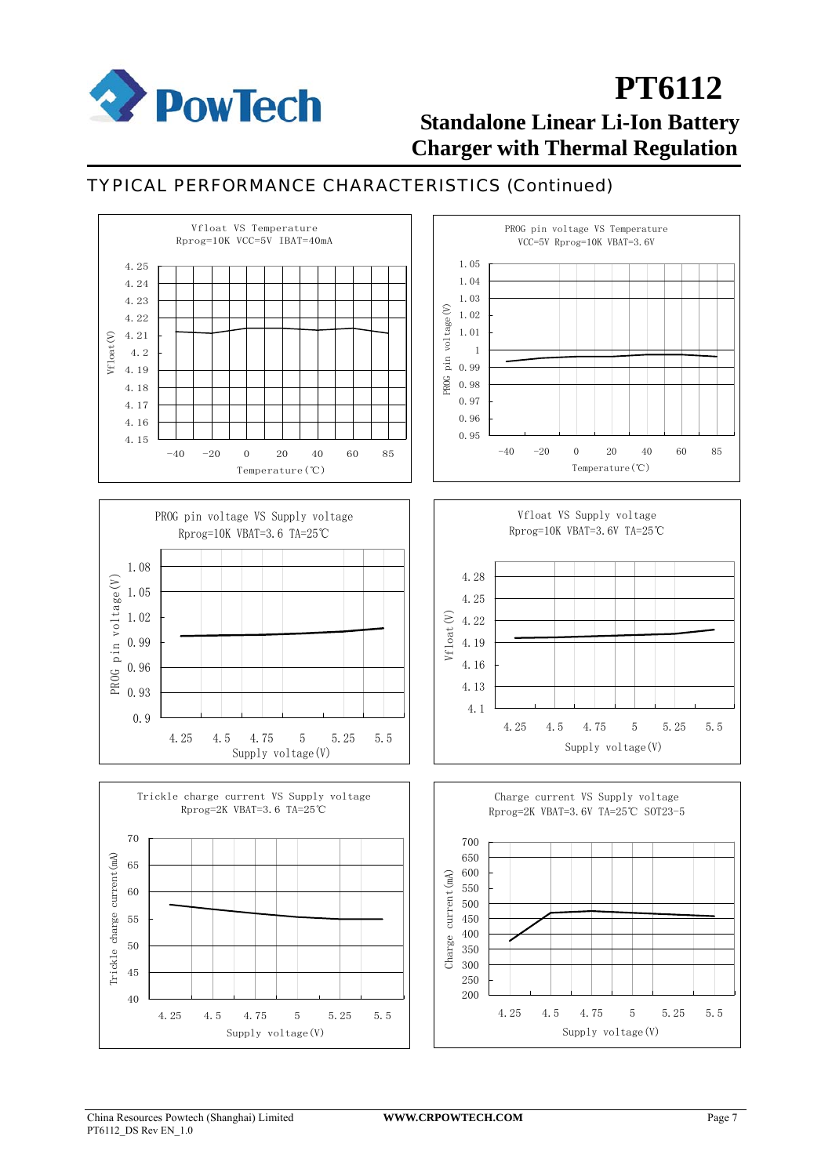

#### TYPICAL PERFORMANCE CHARACTERISTICS (Continued)



China Resources Powtech (Shanghai) Limited **WWW.CRPOWTECH.COM** Page 7 PT6112\_DS Rev EN\_1.0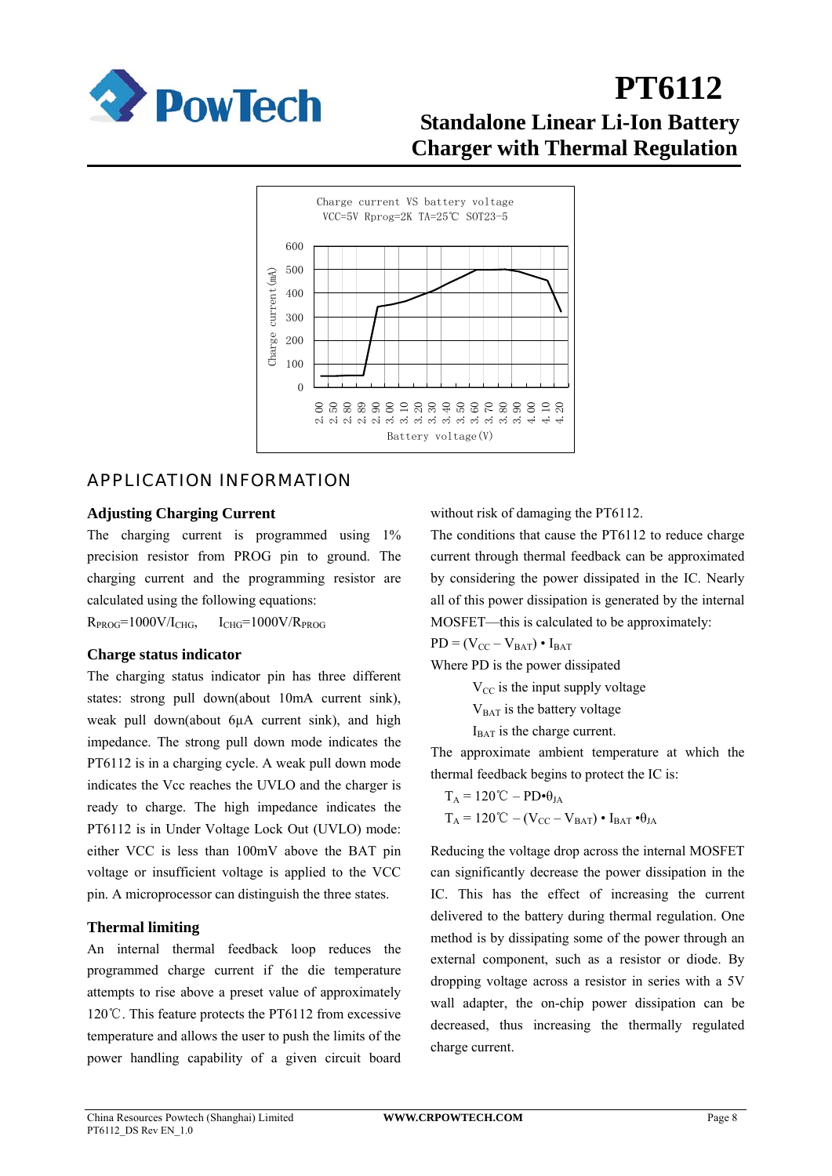



#### APPLICATION INFORMATION

#### **Adjusting Charging Current**

The charging current is programmed using  $1\%$ precision resistor from PROG pin to ground. The charging current and the programming resistor are calculated using the following equations:

 $R_{PROG}$ =1000V/I<sub>CHG</sub>,  $I_{CHG}$ =1000V/ $R_{PROG}$ 

#### **Charge status indicator**

The charging status indicator pin has three different states: strong pull down(about 10mA current sink), weak pull down(about 6µA current sink), and high impedance. The strong pull down mode indicates the PT6112 is in a charging cycle. A weak pull down mode indicates the Vcc reaches the UVLO and the charger is ready to charge. The high impedance indicates the PT6112 is in Under Voltage Lock Out (UVLO) mode: either VCC is less than 100mV above the BAT pin voltage or insufficient voltage is applied to the VCC pin. A microprocessor can distinguish the three states.

#### **Thermal limiting**

An internal thermal feedback loop reduces the programmed charge current if the die temperature attempts to rise above a preset value of approximately 120℃. This feature protects the PT6112 from excessive temperature and allows the user to push the limits of the power handling capability of a given circuit board

without risk of damaging the PT6112.

The conditions that cause the PT6112 to reduce charge current through thermal feedback can be approximated by considering the power dissipated in the IC. Nearly all of this power dissipation is generated by the internal MOSFET—this is calculated to be approximately:

 $PD = (V_{CC} - V_{BAT}) \cdot I_{BAT}$ 

Where PD is the power dissipated

 $V_{\text{CC}}$  is the input supply voltage

 $V<sub>BAT</sub>$  is the battery voltage

 $I<sub>BAT</sub>$  is the charge current.

The approximate ambient temperature at which the thermal feedback begins to protect the IC is:

$$
\begin{aligned} T_A &= 120 \, ^\circ \! \mathbb{C} - PD \bullet \theta_{JA} \\ T_A &= 120 \, ^\circ \! \mathbb{C} - (V_{CC} - V_{BAT}) \bullet I_{BAT} \bullet \theta_{JA} \end{aligned}
$$

Reducing the voltage drop across the internal MOSFET can significantly decrease the power dissipation in the IC. This has the effect of increasing the current delivered to the battery during thermal regulation. One method is by dissipating some of the power through an external component, such as a resistor or diode. By dropping voltage across a resistor in series with a 5V wall adapter, the on-chip power dissipation can be decreased, thus increasing the thermally regulated charge current.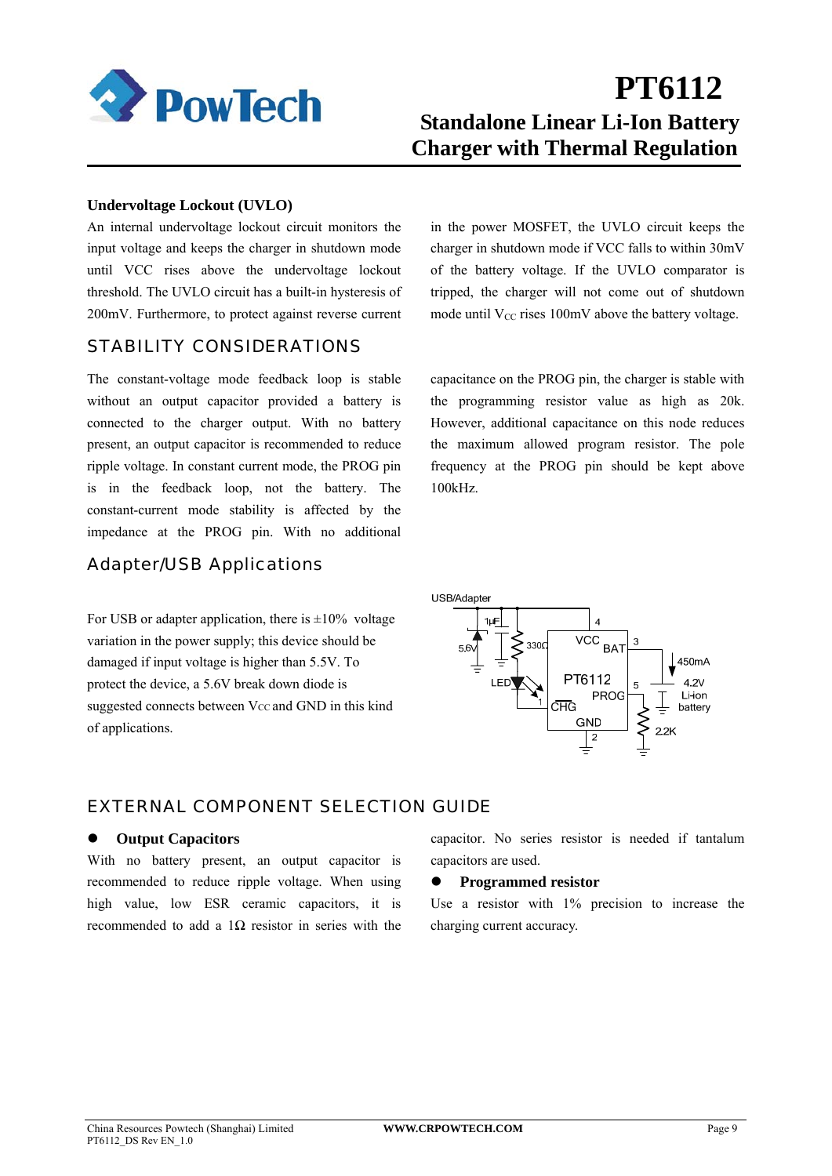

#### **Undervoltage Lockout (UVLO)**

An internal undervoltage lockout circuit monitors the input voltage and keeps the charger in shutdown mode until VCC rises above the undervoltage lockout threshold. The UVLO circuit has a built-in hysteresis of 200mV. Furthermore, to protect against reverse current

#### STABILITY CONSIDERATIONS

The constant-voltage mode feedback loop is stable without an output capacitor provided a battery is connected to the charger output. With no battery present, an output capacitor is recommended to reduce ripple voltage. In constant current mode, the PROG pin is in the feedback loop, not the battery. The constant-current mode stability is affected by the impedance at the PROG pin. With no additional

#### Adapter/USB Applications

For USB or adapter application, there is  $\pm 10\%$  voltage variation in the power supply; this device should be damaged if input voltage is higher than 5.5V. To protect the device, a 5.6V break down diode is suggested connects between Vcc and GND in this kind of applications.

in the power MOSFET, the UVLO circuit keeps the charger in shutdown mode if VCC falls to within 30mV of the battery voltage. If the UVLO comparator is tripped, the charger will not come out of shutdown mode until  $V_{CC}$  rises 100mV above the battery voltage.

capacitance on the PROG pin, the charger is stable with the programming resistor value as high as 20k. However, additional capacitance on this node reduces the maximum allowed program resistor. The pole frequency at the PROG pin should be kept above 100kHz.



#### EXTERNAL COMPONENT SELECTION GUIDE

#### **Output Capacitors**

With no battery present, an output capacitor is recommended to reduce ripple voltage. When using high value, low ESR ceramic capacitors, it is recommended to add a  $1\Omega$  resistor in series with the capacitor. No series resistor is needed if tantalum capacitors are used.

#### $\bullet$  Programmed resistor

Use a resistor with 1% precision to increase the charging current accuracy.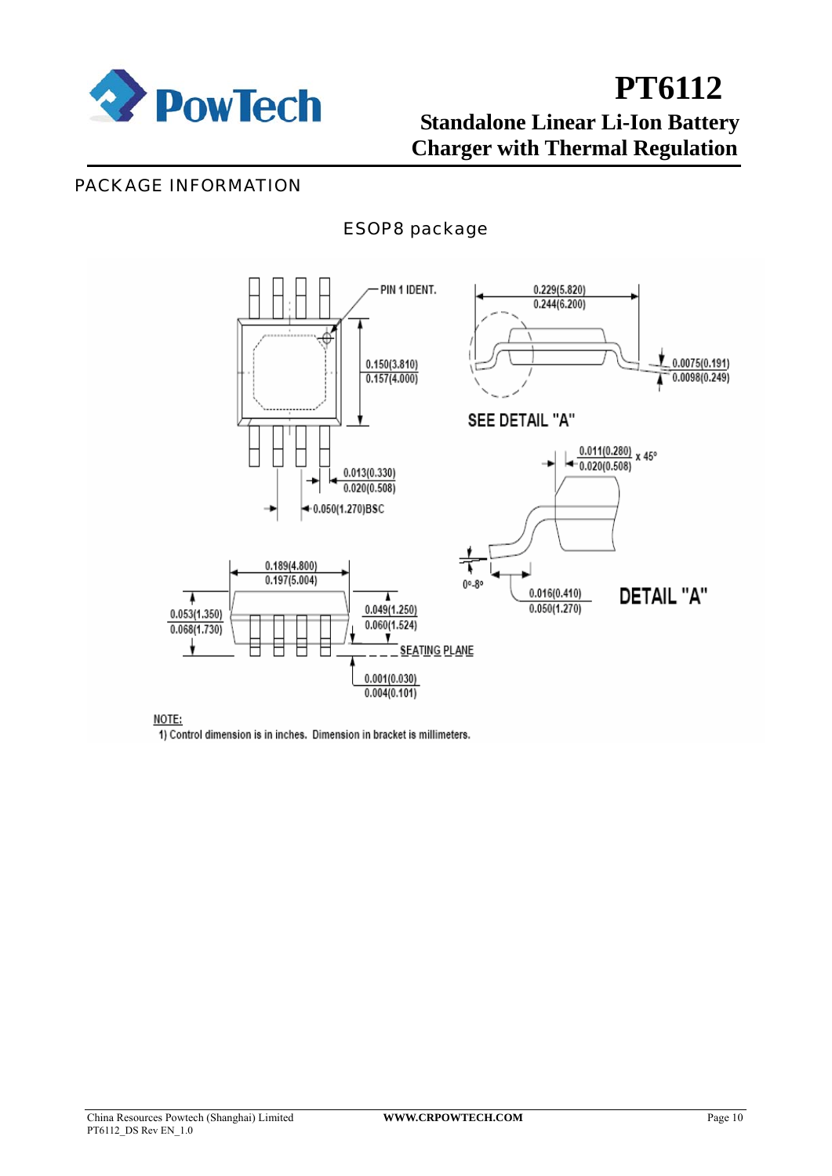

#### PACKAGE INFORMATION

### ESOP8 package



NOTE:

1) Control dimension is in inches. Dimension in bracket is millimeters.